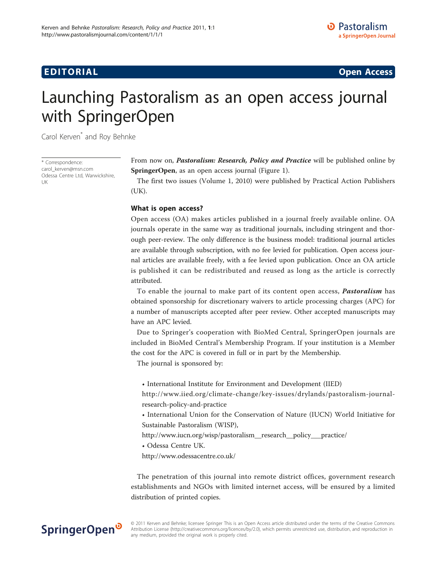## **EDITORIAL** CONTROL CONTROL CONTROL CONTROL CONTROL CONTROL CONTROL CONTROL CONTROL CONTROL CONTROL CONTROL CONTROL CONTROL CONTROL CONTROL CONTROL CONTROL CONTROL CONTROL CONTROL CONTROL CONTROL CONTROL CONTROL CONTROL CO

# Launching Pastoralism as an open access journal with SpringerOpen

Carol Kerven\* and Roy Behnke

\* Correspondence: [carol\\_kerven@msn.com](mailto:carol_kerven@msn.com) Odessa Centre Ltd, Warwickshire, UK

From now on, Pastoralism: Research, Policy and Practice will be published online by SpringerOpen, as an open access journal (Figure [1](#page-1-0)).

The first two issues (Volume 1, 2010) were published by Practical Action Publishers (UK).

#### What is open access?

Open access (OA) makes articles published in a journal freely available online. OA journals operate in the same way as traditional journals, including stringent and thorough peer-review. The only difference is the business model: traditional journal articles are available through subscription, with no fee levied for publication. Open access journal articles are available freely, with a fee levied upon publication. Once an OA article is published it can be redistributed and reused as long as the article is correctly attributed.

To enable the journal to make part of its content open access, Pastoralism has obtained sponsorship for discretionary waivers to article processing charges (APC) for a number of manuscripts accepted after peer review. Other accepted manuscripts may have an APC levied.

Due to Springer's cooperation with BioMed Central, SpringerOpen journals are included in BioMed Central's [Membership Program.](http://www.springeropen.com/libraries) If your institution is a Member the cost for the APC is covered in full or in part by the Membership.

The journal is sponsored by:

• International Institute for Environment and Development (IIED)

[http://www.iied.org/climate-change/key-issues/drylands/pastoralism-journal](http://www.iied.org/climate-change/key-issues/drylands/pastoralism-journal-research-policy-and-practice)[research-policy-and-practice](http://www.iied.org/climate-change/key-issues/drylands/pastoralism-journal-research-policy-and-practice)

• International Union for the Conservation of Nature (IUCN) World Initiative for Sustainable Pastoralism (WISP),

- [http://www.iucn.org/wisp/pastoralism\\_\\_research\\_\\_policy\\_\\_\\_practice/](http://www.iucn.org/wisp/pastoralism__research__policy___practice/)
- Odessa Centre UK.
- <http://www.odessacentre.co.uk/>

The penetration of this journal into remote district offices, government research establishments and NGOs with limited internet access, will be ensured by a limited distribution of printed copies.



© 2011 Kerven and Behnke; licensee Springer This is an Open Access article distributed under the terms of the Creative Commons Attribution License [\(http://creativecommons.org/licences/by/2.0\)](http://creativecommons.org/licences/by/2.0), which permits unrestricted use, distribution, and reproduction in any medium, provided the original work is properly cited.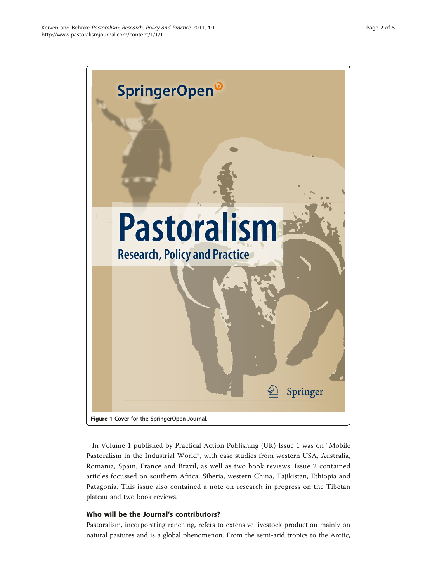<span id="page-1-0"></span>

In Volume 1 published by Practical Action Publishing (UK) Issue 1 was on "Mobile Pastoralism in the Industrial World", with case studies from western USA, Australia, Romania, Spain, France and Brazil, as well as two book reviews. Issue 2 contained articles focussed on southern Africa, Siberia, western China, Tajikistan, Ethiopia and Patagonia. This issue also contained a note on research in progress on the Tibetan plateau and two book reviews.

### Who will be the Journal's contributors?

Pastoralism, incorporating ranching, refers to extensive livestock production mainly on natural pastures and is a global phenomenon. From the semi-arid tropics to the Arctic,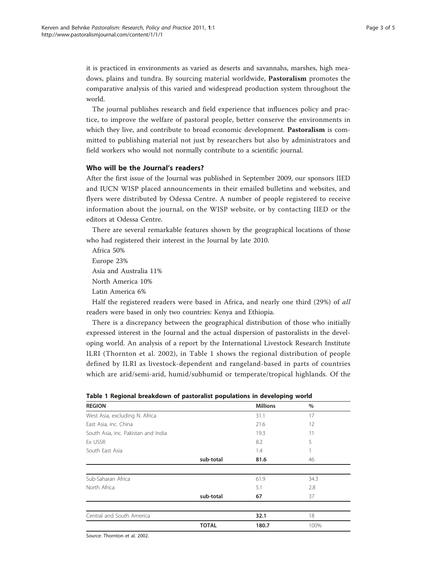it is practiced in environments as varied as deserts and savannahs, marshes, high meadows, plains and tundra. By sourcing material worldwide, Pastoralism promotes the comparative analysis of this varied and widespread production system throughout the world.

The journal publishes research and field experience that influences policy and practice, to improve the welfare of pastoral people, better conserve the environments in which they live, and contribute to broad economic development. Pastoralism is committed to publishing material not just by researchers but also by administrators and field workers who would not normally contribute to a scientific journal.

#### Who will be the Journal's readers?

After the first issue of the Journal was published in September 2009, our sponsors IIED and IUCN WISP placed announcements in their emailed bulletins and websites, and flyers were distributed by Odessa Centre. A number of people registered to receive information about the journal, on the WISP website, or by contacting IIED or the editors at Odessa Centre.

There are several remarkable features shown by the geographical locations of those who had registered their interest in the Journal by late 2010.

Africa 50% Europe 23% Asia and Australia 11% North America 10% Latin America 6%

Half the registered readers were based in Africa, and nearly one third (29%) of all readers were based in only two countries: Kenya and Ethiopia.

There is a discrepancy between the geographical distribution of those who initially expressed interest in the Journal and the actual dispersion of pastoralists in the developing world. An analysis of a report by the International Livestock Research Institute ILRI ([Thornton et al. 2002](#page-4-0)), in Table 1 shows the regional distribution of people defined by ILRI as livestock-dependent and rangeland-based in parts of countries which are arid/semi-arid, humid/subhumid or temperate/tropical highlands. Of the

| <b>REGION</b>                       |              | <b>Millions</b> | $\%$ |
|-------------------------------------|--------------|-----------------|------|
| West Asia, excluding N. Africa      |              | 31.1            | 17   |
| East Asia, inc. China               |              | 21.6            | 12   |
| South Asia, inc. Pakistan and India |              | 19.3            | 11   |
| Ex USSR                             |              | 8.2             | 5    |
| South East Asia                     |              | 1.4             |      |
|                                     | sub-total    | 81.6            | 46   |
|                                     |              |                 |      |
| Sub-Saharan Africa                  |              | 61.9            | 34.3 |
| North Africa                        |              | 5.1             | 2.8  |
|                                     | sub-total    | 67              | 37   |
|                                     |              |                 |      |
| Central and South America           |              | 32.1            | 18   |
|                                     | <b>TOTAL</b> | 180.7           | 100% |
|                                     |              |                 |      |

|  |  |  |  |  | Table 1 Regional breakdown of pastoralist populations in developing world |  |  |  |
|--|--|--|--|--|---------------------------------------------------------------------------|--|--|--|
|--|--|--|--|--|---------------------------------------------------------------------------|--|--|--|

Source: [Thornton et al. 2002.](#page-4-0)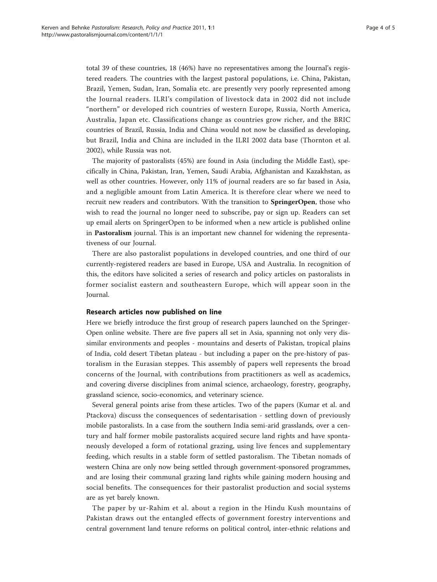total 39 of these countries, 18 (46%) have no representatives among the Journal's registered readers. The countries with the largest pastoral populations, i.e. China, Pakistan, Brazil, Yemen, Sudan, Iran, Somalia etc. are presently very poorly represented among the Journal readers. ILRI's compilation of livestock data in 2002 did not include "northern" or developed rich countries of western Europe, Russia, North America, Australia, Japan etc. Classifications change as countries grow richer, and the BRIC countries of Brazil, Russia, India and China would not now be classified as developing, but Brazil, India and China are included in the ILRI 2002 data base ([Thornton et al.](#page-4-0) [2002](#page-4-0)), while Russia was not.

The majority of pastoralists (45%) are found in Asia (including the Middle East), specifically in China, Pakistan, Iran, Yemen, Saudi Arabia, Afghanistan and Kazakhstan, as well as other countries. However, only 11% of journal readers are so far based in Asia, and a negligible amount from Latin America. It is therefore clear where we need to recruit new readers and contributors. With the transition to SpringerOpen, those who wish to read the journal no longer need to subscribe, pay or sign up. Readers can set up email alerts on SpringerOpen to be informed when a new article is published online in Pastoralism journal. This is an important new channel for widening the representativeness of our Journal.

There are also pastoralist populations in developed countries, and one third of our currently-registered readers are based in Europe, USA and Australia. In recognition of this, the editors have solicited a series of research and policy articles on pastoralists in former socialist eastern and southeastern Europe, which will appear soon in the Journal.

#### Research articles now published on line

Here we briefly introduce the first group of research papers launched on the Springer-Open online website. There are five papers all set in Asia, spanning not only very dissimilar environments and peoples - mountains and deserts of Pakistan, tropical plains of India, cold desert Tibetan plateau - but including a paper on the pre-history of pastoralism in the Eurasian steppes. This assembly of papers well represents the broad concerns of the Journal, with contributions from practitioners as well as academics, and covering diverse disciplines from animal science, archaeology, forestry, geography, grassland science, socio-economics, and veterinary science.

Several general points arise from these articles. Two of the papers (Kumar et al. and Ptackova) discuss the consequences of sedentarisation - settling down of previously mobile pastoralists. In a case from the southern India semi-arid grasslands, over a century and half former mobile pastoralists acquired secure land rights and have spontaneously developed a form of rotational grazing, using live fences and supplementary feeding, which results in a stable form of settled pastoralism. The Tibetan nomads of western China are only now being settled through government-sponsored programmes, and are losing their communal grazing land rights while gaining modern housing and social benefits. The consequences for their pastoralist production and social systems are as yet barely known.

The paper by ur-Rahim et al. about a region in the Hindu Kush mountains of Pakistan draws out the entangled effects of government forestry interventions and central government land tenure reforms on political control, inter-ethnic relations and